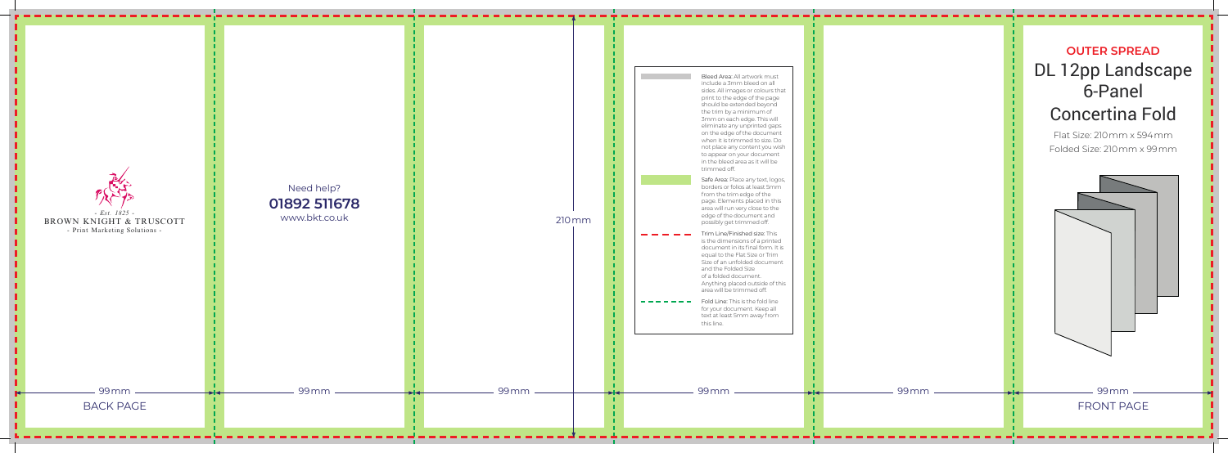